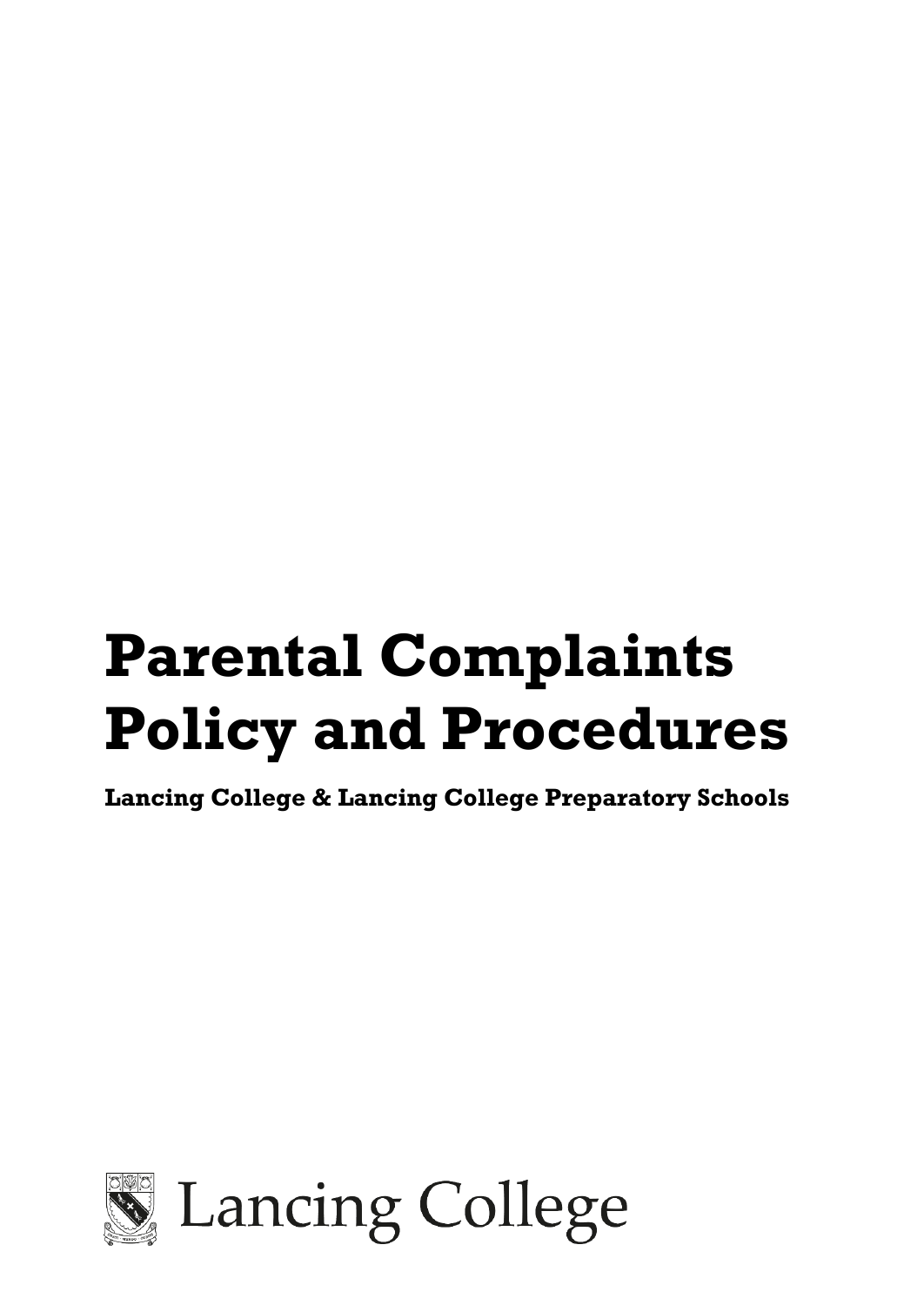# **Parental Complaints Policy and Procedures**

**Lancing College & Lancing College Preparatory Schools**

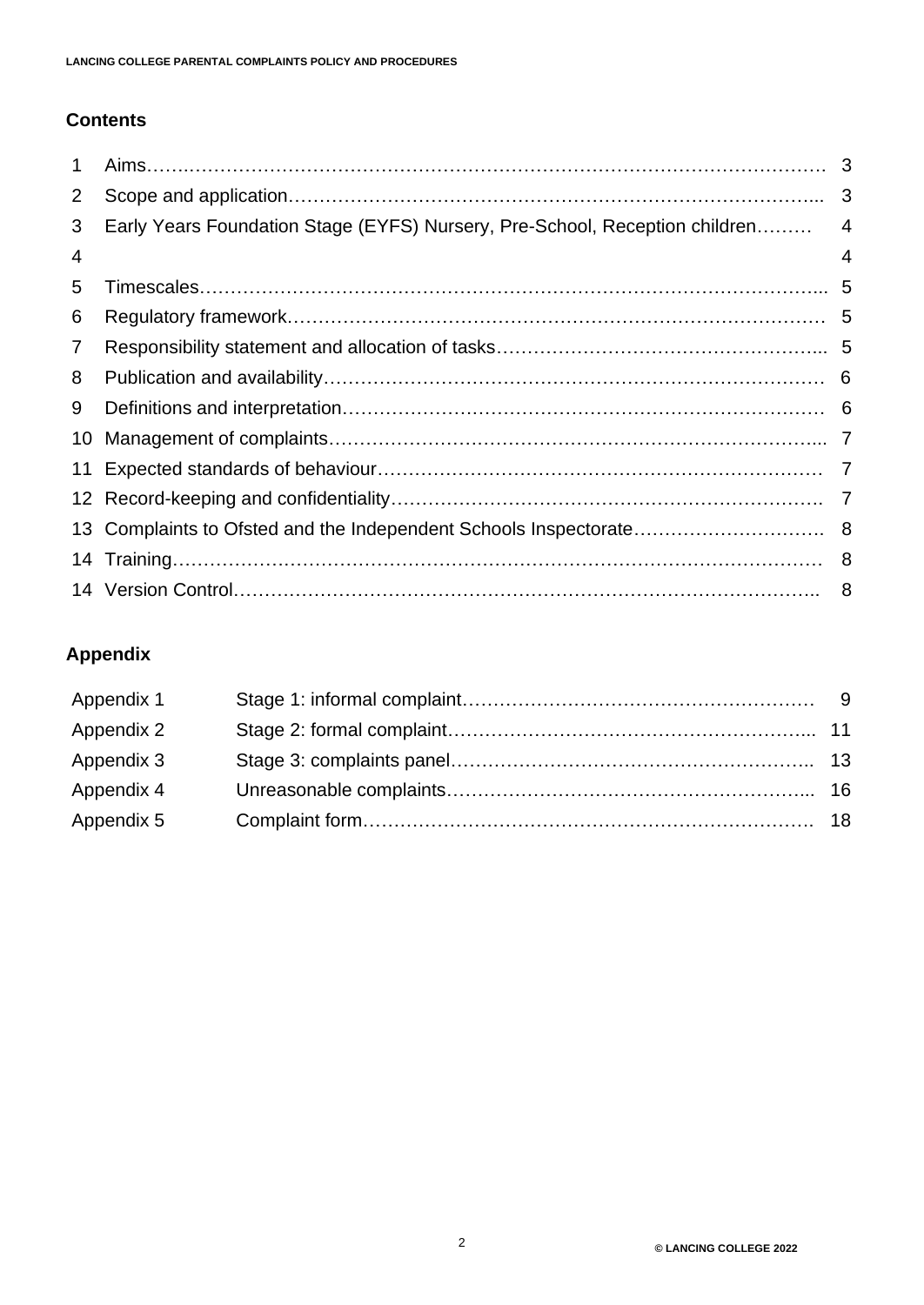# **Contents**

| $\mathbf 1$ |                                                                             |                |
|-------------|-----------------------------------------------------------------------------|----------------|
| 2           |                                                                             |                |
| 3           | Early Years Foundation Stage (EYFS) Nursery, Pre-School, Reception children | $\overline{4}$ |
| 4           |                                                                             | 4              |
| 5           |                                                                             |                |
| 6           |                                                                             |                |
| 7           |                                                                             |                |
| 8           |                                                                             |                |
| 9           |                                                                             |                |
| 10          |                                                                             |                |
|             |                                                                             |                |
|             |                                                                             |                |
|             |                                                                             |                |
|             |                                                                             |                |
|             |                                                                             |                |

# **Appendix**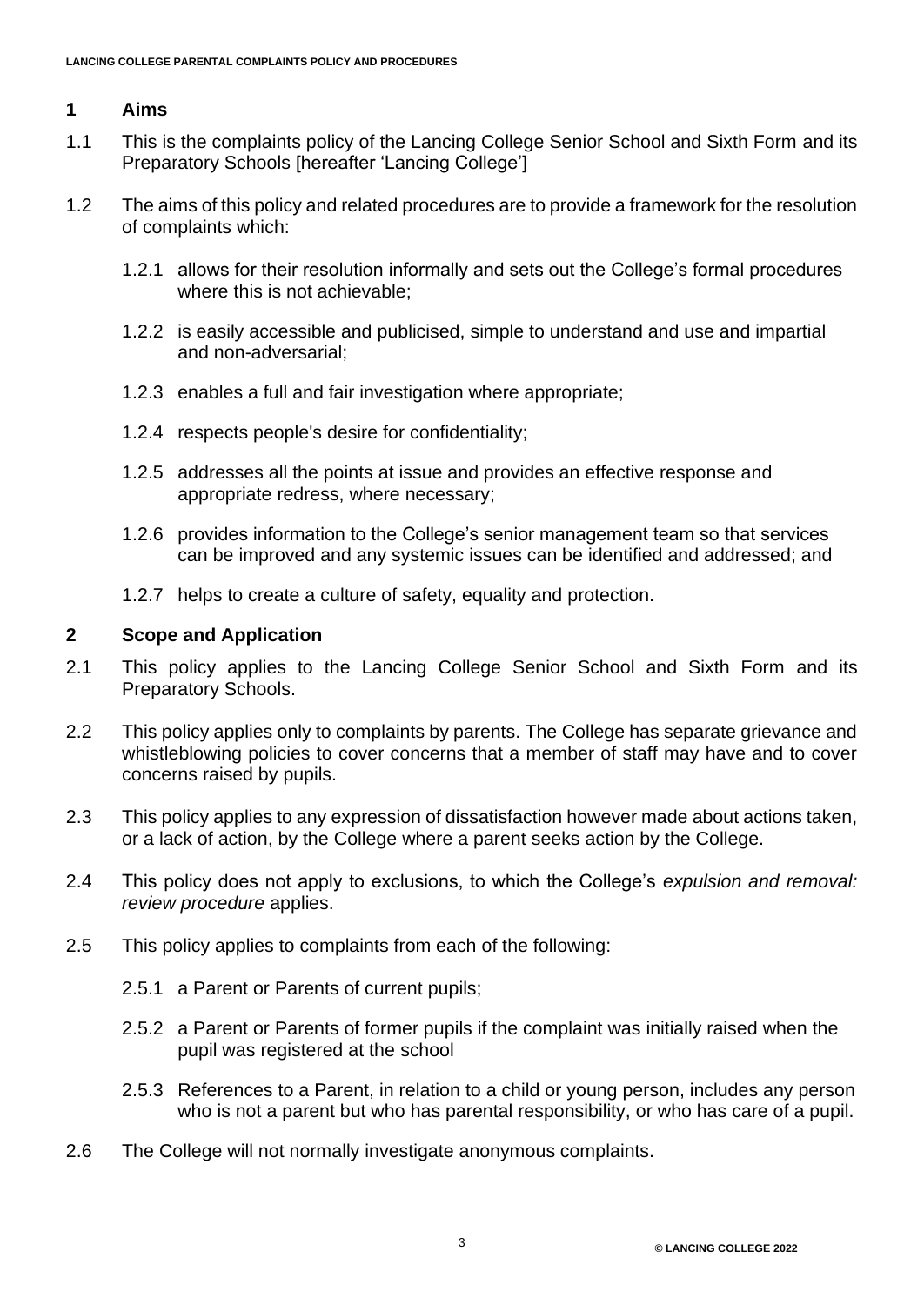# **1 Aims**

- 1.1 This is the complaints policy of the Lancing College Senior School and Sixth Form and its Preparatory Schools [hereafter 'Lancing College']
- 1.2 The aims of this policy and related procedures are to provide a framework for the resolution of complaints which:
	- 1.2.1 allows for their resolution informally and sets out the College's formal procedures where this is not achievable;
	- 1.2.2 is easily accessible and publicised, simple to understand and use and impartial and non-adversarial;
	- 1.2.3 enables a full and fair investigation where appropriate;
	- 1.2.4 respects people's desire for confidentiality;
	- 1.2.5 addresses all the points at issue and provides an effective response and appropriate redress, where necessary;
	- 1.2.6 provides information to the College's senior management team so that services can be improved and any systemic issues can be identified and addressed; and
	- 1.2.7 helps to create a culture of safety, equality and protection.

### **2 Scope and Application**

- 2.1 This policy applies to the Lancing College Senior School and Sixth Form and its Preparatory Schools.
- 2.2 This policy applies only to complaints by parents. The College has separate grievance and whistleblowing policies to cover concerns that a member of staff may have and to cover concerns raised by pupils.
- 2.3 This policy applies to any expression of dissatisfaction however made about actions taken, or a lack of action, by the College where a parent seeks action by the College.
- 2.4 This policy does not apply to exclusions, to which the College's *expulsion and removal: review procedure* applies.
- 2.5 This policy applies to complaints from each of the following:
	- 2.5.1 a Parent or Parents of current pupils;
	- 2.5.2 a Parent or Parents of former pupils if the complaint was initially raised when the pupil was registered at the school
	- 2.5.3 References to a Parent, in relation to a child or young person, includes any person who is not a parent but who has parental responsibility, or who has care of a pupil.
- 2.6 The College will not normally investigate anonymous complaints.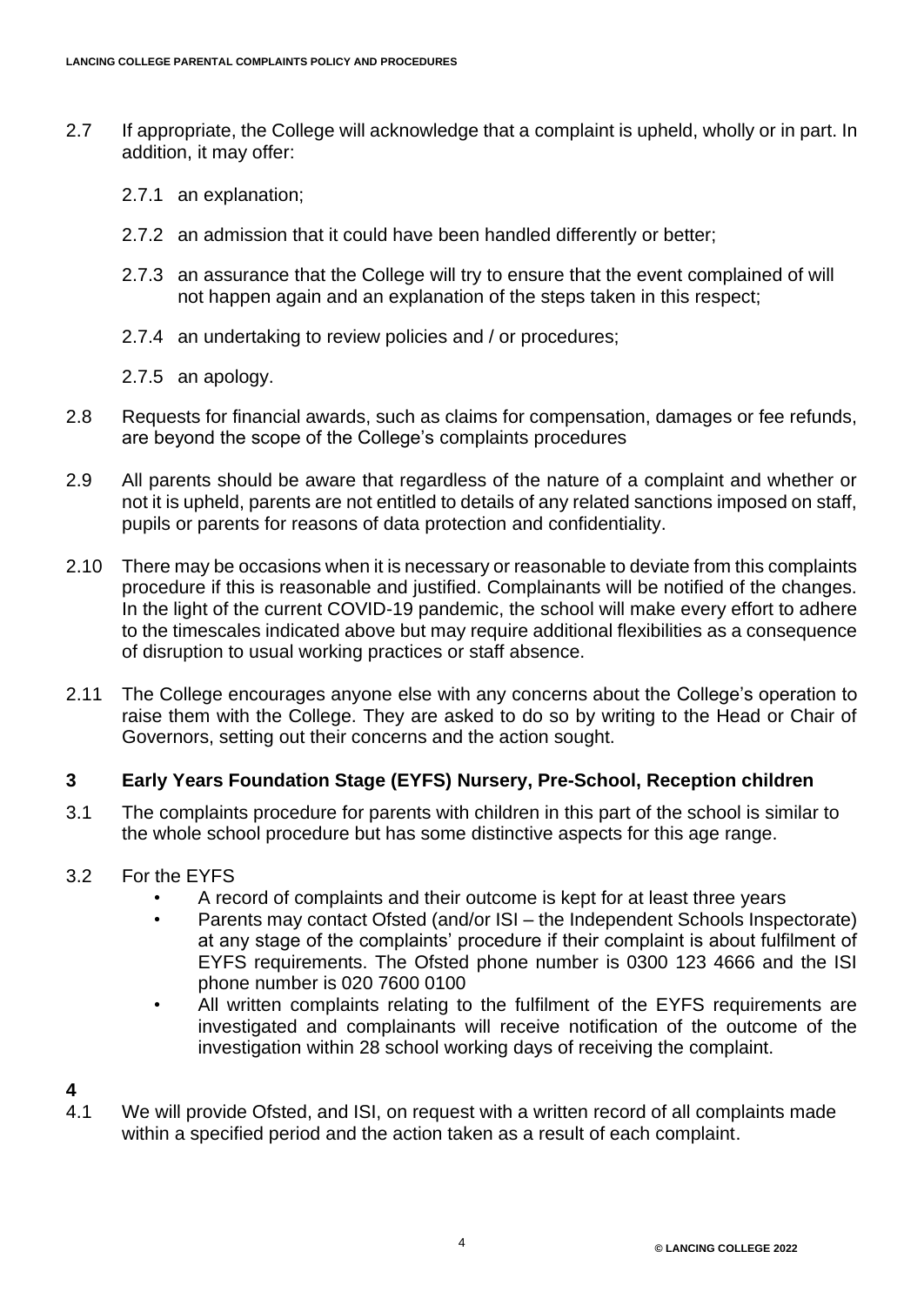- 2.7 If appropriate, the College will acknowledge that a complaint is upheld, wholly or in part. In addition, it may offer:
	- 2.7.1 an explanation;
	- 2.7.2 an admission that it could have been handled differently or better;
	- 2.7.3 an assurance that the College will try to ensure that the event complained of will not happen again and an explanation of the steps taken in this respect;
	- 2.7.4 an undertaking to review policies and / or procedures;
	- 2.7.5 an apology.
- 2.8 Requests for financial awards, such as claims for compensation, damages or fee refunds, are beyond the scope of the College's complaints procedures
- 2.9 All parents should be aware that regardless of the nature of a complaint and whether or not it is upheld, parents are not entitled to details of any related sanctions imposed on staff, pupils or parents for reasons of data protection and confidentiality.
- 2.10 There may be occasions when it is necessary or reasonable to deviate from this complaints procedure if this is reasonable and justified. Complainants will be notified of the changes. In the light of the current COVID-19 pandemic, the school will make every effort to adhere to the timescales indicated above but may require additional flexibilities as a consequence of disruption to usual working practices or staff absence.
- 2.11 The College encourages anyone else with any concerns about the College's operation to raise them with the College. They are asked to do so by writing to the Head or Chair of Governors, setting out their concerns and the action sought.

#### **3 Early Years Foundation Stage (EYFS) Nursery, Pre-School, Reception children**

- 3.1 The complaints procedure for parents with children in this part of the school is similar to the whole school procedure but has some distinctive aspects for this age range.
- 3.2 For the EYFS
	- A record of complaints and their outcome is kept for at least three years
	- Parents may contact Ofsted (and/or ISI the Independent Schools Inspectorate) at any stage of the complaints' procedure if their complaint is about fulfilment of EYFS requirements. The Ofsted phone number is 0300 123 4666 and the ISI phone number is 020 7600 0100
	- All written complaints relating to the fulfilment of the EYFS requirements are investigated and complainants will receive notification of the outcome of the investigation within 28 school working days of receiving the complaint.
- 
- $\frac{4}{4.1}$ We will provide Ofsted, and ISI, on request with a written record of all complaints made within a specified period and the action taken as a result of each complaint.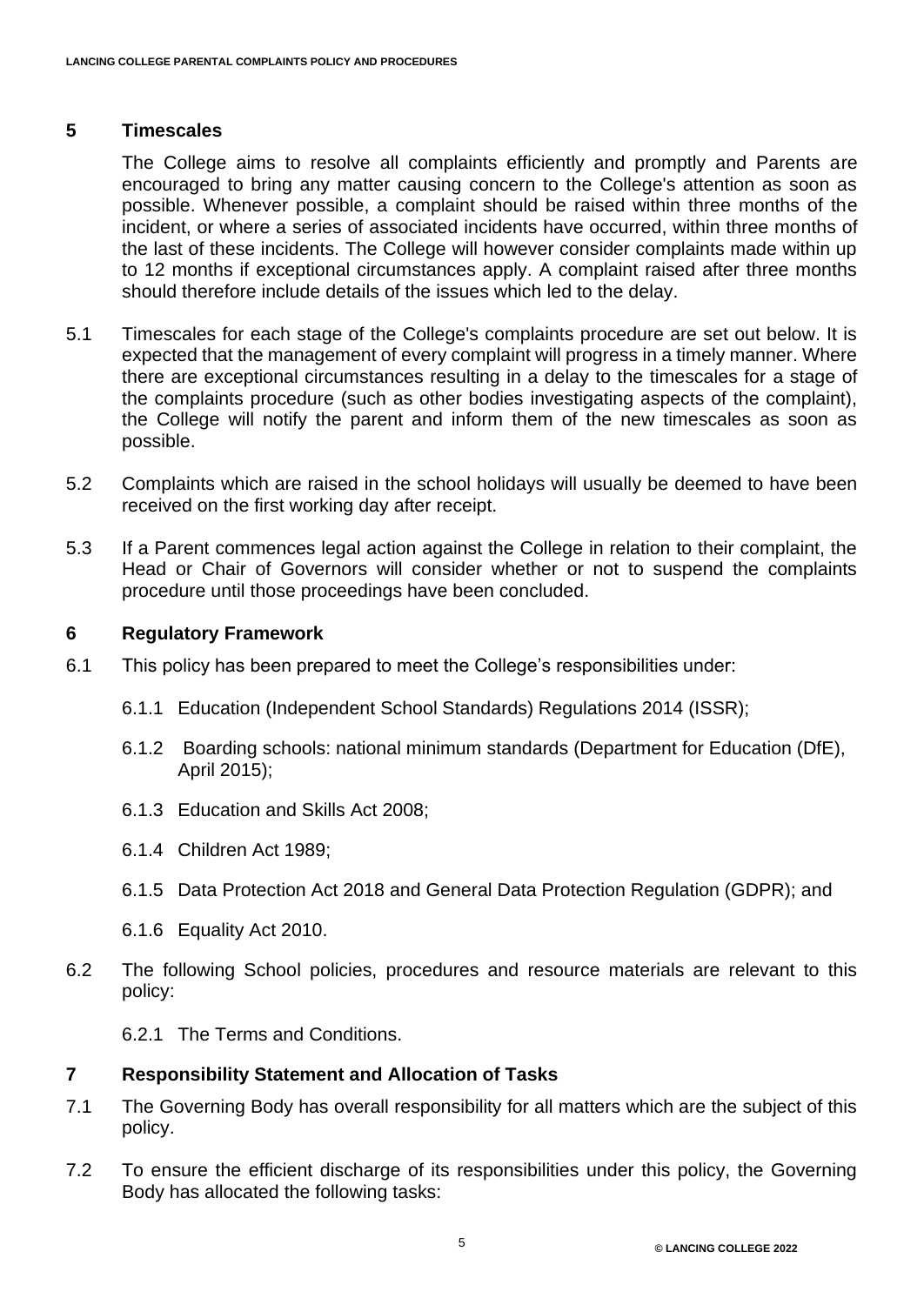#### **5 Timescales**

The College aims to resolve all complaints efficiently and promptly and Parents are encouraged to bring any matter causing concern to the College's attention as soon as possible. Whenever possible, a complaint should be raised within three months of the incident, or where a series of associated incidents have occurred, within three months of the last of these incidents. The College will however consider complaints made within up to 12 months if exceptional circumstances apply. A complaint raised after three months should therefore include details of the issues which led to the delay.

- 5.1 Timescales for each stage of the College's complaints procedure are set out below. It is expected that the management of every complaint will progress in a timely manner. Where there are exceptional circumstances resulting in a delay to the timescales for a stage of the complaints procedure (such as other bodies investigating aspects of the complaint), the College will notify the parent and inform them of the new timescales as soon as possible.
- 5.2 Complaints which are raised in the school holidays will usually be deemed to have been received on the first working day after receipt.
- 5.3 If a Parent commences legal action against the College in relation to their complaint, the Head or Chair of Governors will consider whether or not to suspend the complaints procedure until those proceedings have been concluded.

#### **6 Regulatory Framework**

- 6.1 This policy has been prepared to meet the College's responsibilities under:
	- 6.1.1 Education (Independent School Standards) Regulations 2014 (ISSR);
	- 6.1.2 Boarding schools: national minimum standards (Department for Education (DfE), April 2015);
	- 6.1.3 Education and Skills Act 2008;
	- 6.1.4 Children Act 1989;
	- 6.1.5 Data Protection Act 2018 and General Data Protection Regulation (GDPR); and
	- 6.1.6 Equality Act 2010.
- 6.2 The following School policies, procedures and resource materials are relevant to this policy:

6.2.1 The Terms and Conditions.

#### **7 Responsibility Statement and Allocation of Tasks**

- 7.1 The Governing Body has overall responsibility for all matters which are the subject of this policy.
- 7.2 To ensure the efficient discharge of its responsibilities under this policy, the Governing Body has allocated the following tasks: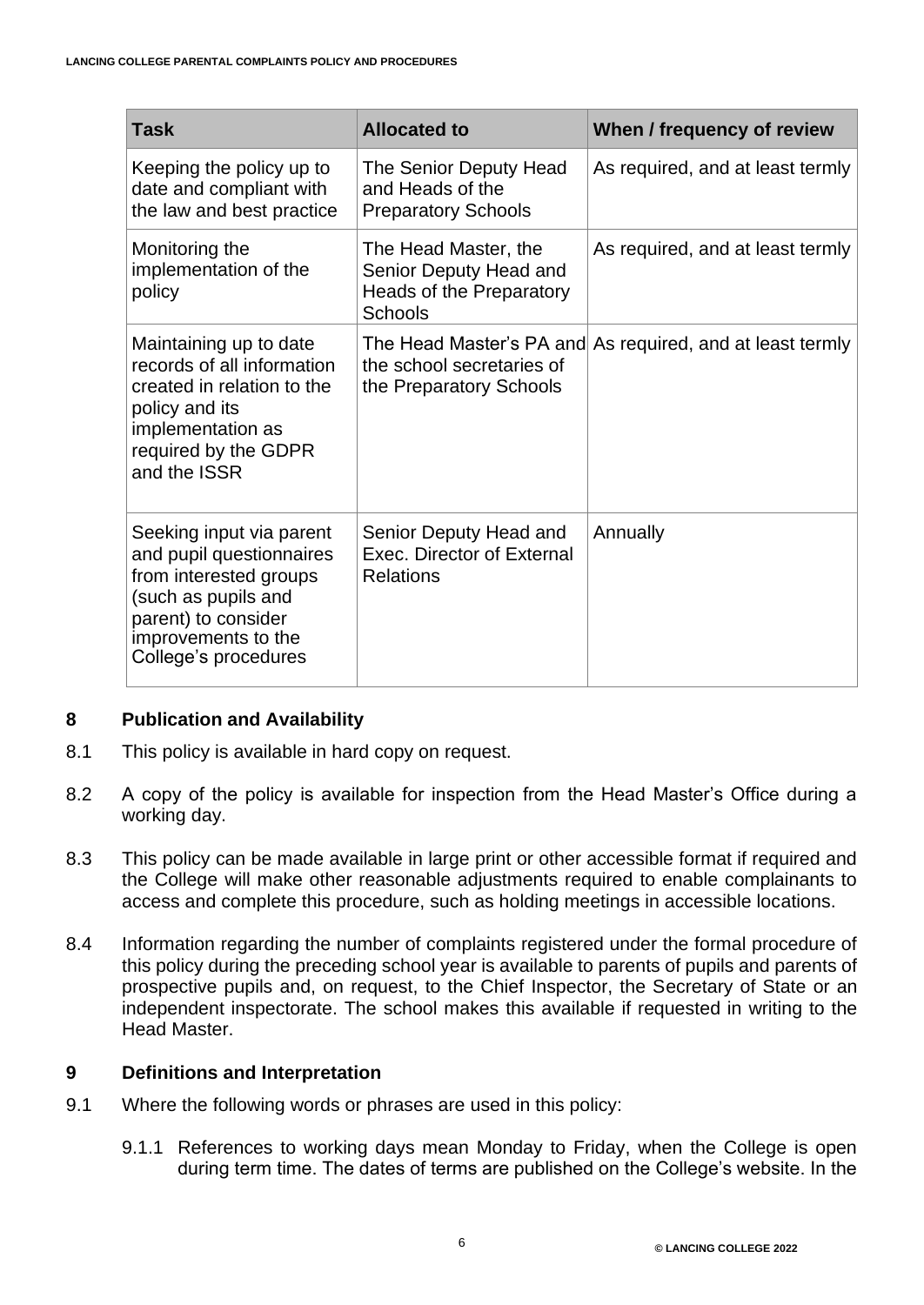| <b>Task</b>                                                                                                                                                                 | <b>Allocated to</b>                                                                          | When / frequency of review       |
|-----------------------------------------------------------------------------------------------------------------------------------------------------------------------------|----------------------------------------------------------------------------------------------|----------------------------------|
| Keeping the policy up to<br>date and compliant with<br>the law and best practice                                                                                            | The Senior Deputy Head<br>and Heads of the<br><b>Preparatory Schools</b>                     | As required, and at least termly |
| Monitoring the<br>implementation of the<br>policy                                                                                                                           | The Head Master, the<br>Senior Deputy Head and<br>Heads of the Preparatory<br><b>Schools</b> | As required, and at least termly |
| Maintaining up to date<br>records of all information<br>created in relation to the<br>policy and its<br>implementation as<br>required by the GDPR<br>and the ISSR           | The Head Master's PA and<br>the school secretaries of<br>the Preparatory Schools             | As required, and at least termly |
| Seeking input via parent<br>and pupil questionnaires<br>from interested groups<br>(such as pupils and<br>parent) to consider<br>improvements to the<br>College's procedures | Senior Deputy Head and<br>Exec. Director of External<br><b>Relations</b>                     | Annually                         |

#### **8 Publication and Availability**

- 8.1 This policy is available in hard copy on request.
- 8.2 A copy of the policy is available for inspection from the Head Master's Office during a working day.
- 8.3 This policy can be made available in large print or other accessible format if required and the College will make other reasonable adjustments required to enable complainants to access and complete this procedure, such as holding meetings in accessible locations.
- 8.4 Information regarding the number of complaints registered under the formal procedure of this policy during the preceding school year is available to parents of pupils and parents of prospective pupils and, on request, to the Chief Inspector, the Secretary of State or an independent inspectorate. The school makes this available if requested in writing to the Head Master.

#### **9 Definitions and Interpretation**

- 9.1 Where the following words or phrases are used in this policy:
	- 9.1.1 References to working days mean Monday to Friday, when the College is open during term time. The dates of terms are published on the College's website. In the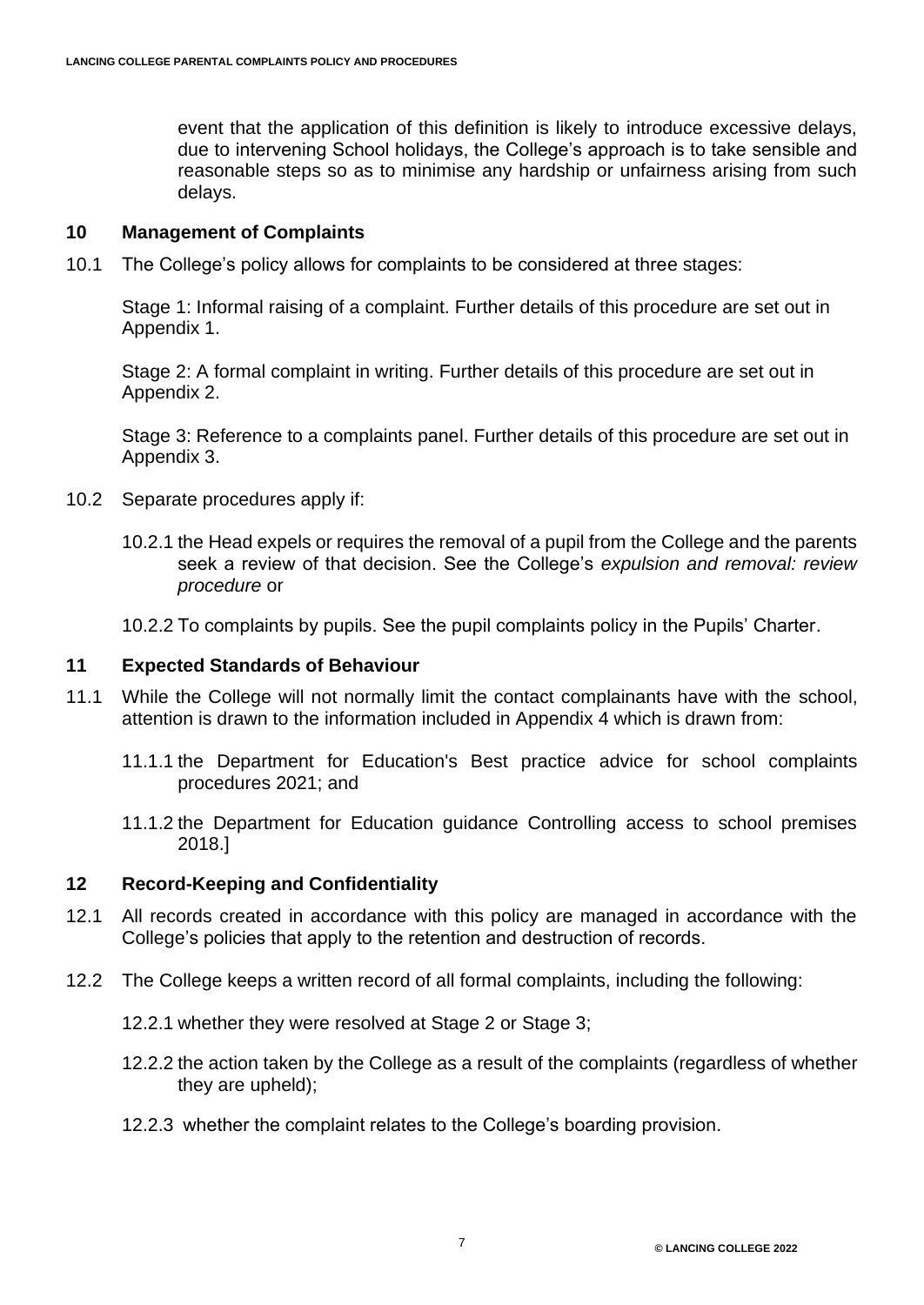event that the application of this definition is likely to introduce excessive delays, due to intervening School holidays, the College's approach is to take sensible and reasonable steps so as to minimise any hardship or unfairness arising from such delays.

#### **10 Management of Complaints**

10.1 The College's policy allows for complaints to be considered at three stages:

Stage 1: Informal raising of a complaint. Further details of this procedure are set out in Appendix 1.

Stage 2: A formal complaint in writing. Further details of this procedure are set out in Appendix 2.

Stage 3: Reference to a complaints panel. Further details of this procedure are set out in Appendix 3.

- 10.2 Separate procedures apply if:
	- 10.2.1 the Head expels or requires the removal of a pupil from the College and the parents seek a review of that decision. See the College's *expulsion and removal: review procedure* or
	- 10.2.2 To complaints by pupils. See the pupil complaints policy in the Pupils' Charter.

#### **11 Expected Standards of Behaviour**

- 11.1 While the College will not normally limit the contact complainants have with the school, attention is drawn to the information included in Appendix 4 which is drawn from:
	- 11.1.1 the Department for Education's Best practice advice for school complaints procedures 2021; and
	- 11.1.2 the Department for Education guidance Controlling access to school premises 2018.]

#### **12 Record-Keeping and Confidentiality**

- 12.1 All records created in accordance with this policy are managed in accordance with the College's policies that apply to the retention and destruction of records.
- 12.2 The College keeps a written record of all formal complaints, including the following:
	- 12.2.1 whether they were resolved at Stage 2 or Stage 3;
	- 12.2.2 the action taken by the College as a result of the complaints (regardless of whether they are upheld);
	- 12.2.3 whether the complaint relates to the College's boarding provision.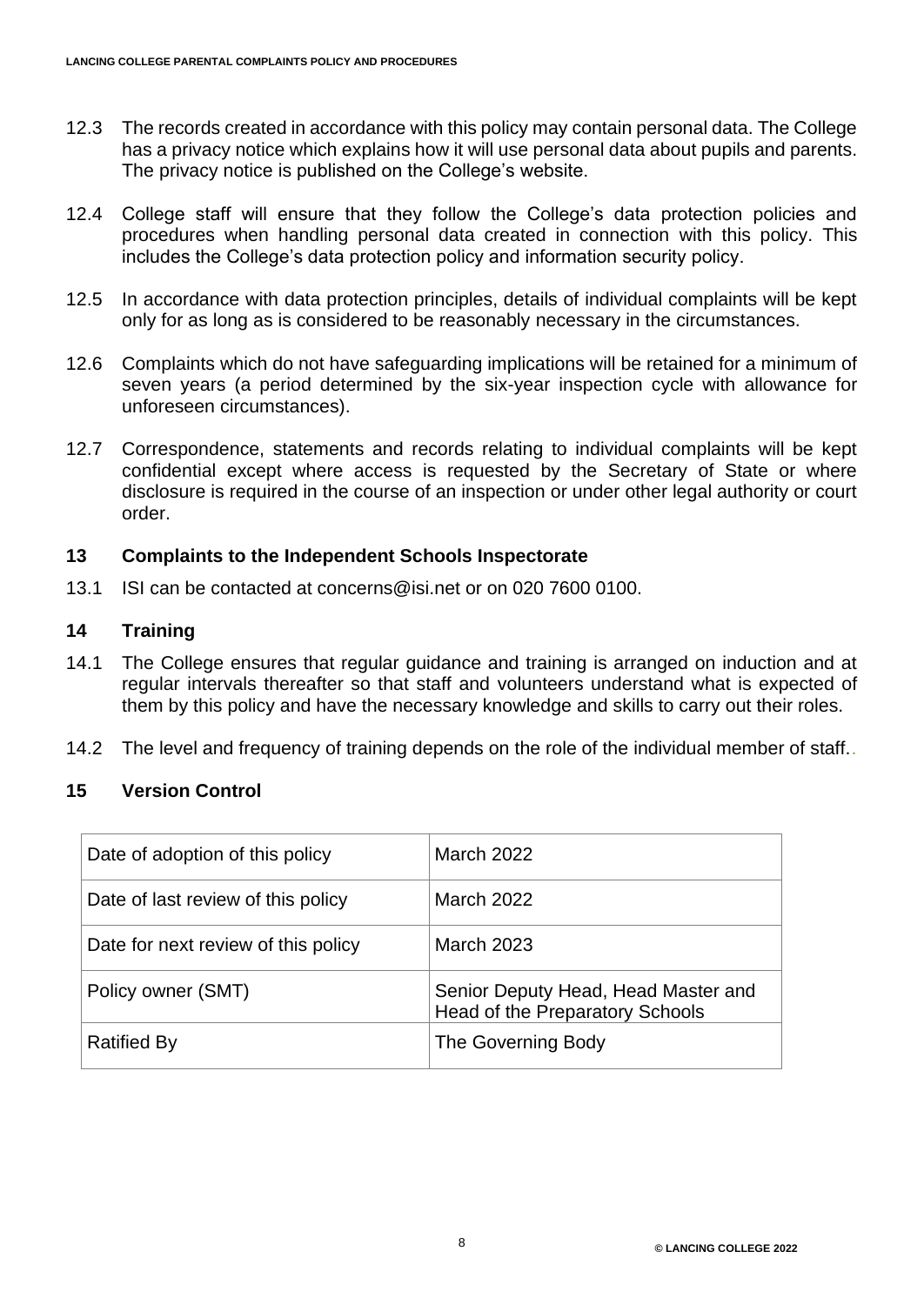- 12.3 The records created in accordance with this policy may contain personal data. The College has a privacy notice which explains how it will use personal data about pupils and parents. The privacy notice is published on the College's website.
- 12.4 College staff will ensure that they follow the College's data protection policies and procedures when handling personal data created in connection with this policy. This includes the College's data protection policy and information security policy.
- 12.5 In accordance with data protection principles, details of individual complaints will be kept only for as long as is considered to be reasonably necessary in the circumstances.
- 12.6 Complaints which do not have safeguarding implications will be retained for a minimum of seven years (a period determined by the six-year inspection cycle with allowance for unforeseen circumstances).
- 12.7 Correspondence, statements and records relating to individual complaints will be kept confidential except where access is requested by the Secretary of State or where disclosure is required in the course of an inspection or under other legal authority or court order.

#### **13 Complaints to the Independent Schools Inspectorate**

13.1 ISI can be contacted at concerns@isi.net or on 020 7600 0100.

#### **14 Training**

- 14.1 The College ensures that regular guidance and training is arranged on induction and at regular intervals thereafter so that staff and volunteers understand what is expected of them by this policy and have the necessary knowledge and skills to carry out their roles.
- 14.2 The level and frequency of training depends on the role of the individual member of staff..

#### **15 Version Control**

| Date of adoption of this policy     | March 2022                                                             |
|-------------------------------------|------------------------------------------------------------------------|
| Date of last review of this policy  | <b>March 2022</b>                                                      |
| Date for next review of this policy | <b>March 2023</b>                                                      |
| Policy owner (SMT)                  | Senior Deputy Head, Head Master and<br>Head of the Preparatory Schools |
| <b>Ratified By</b>                  | The Governing Body                                                     |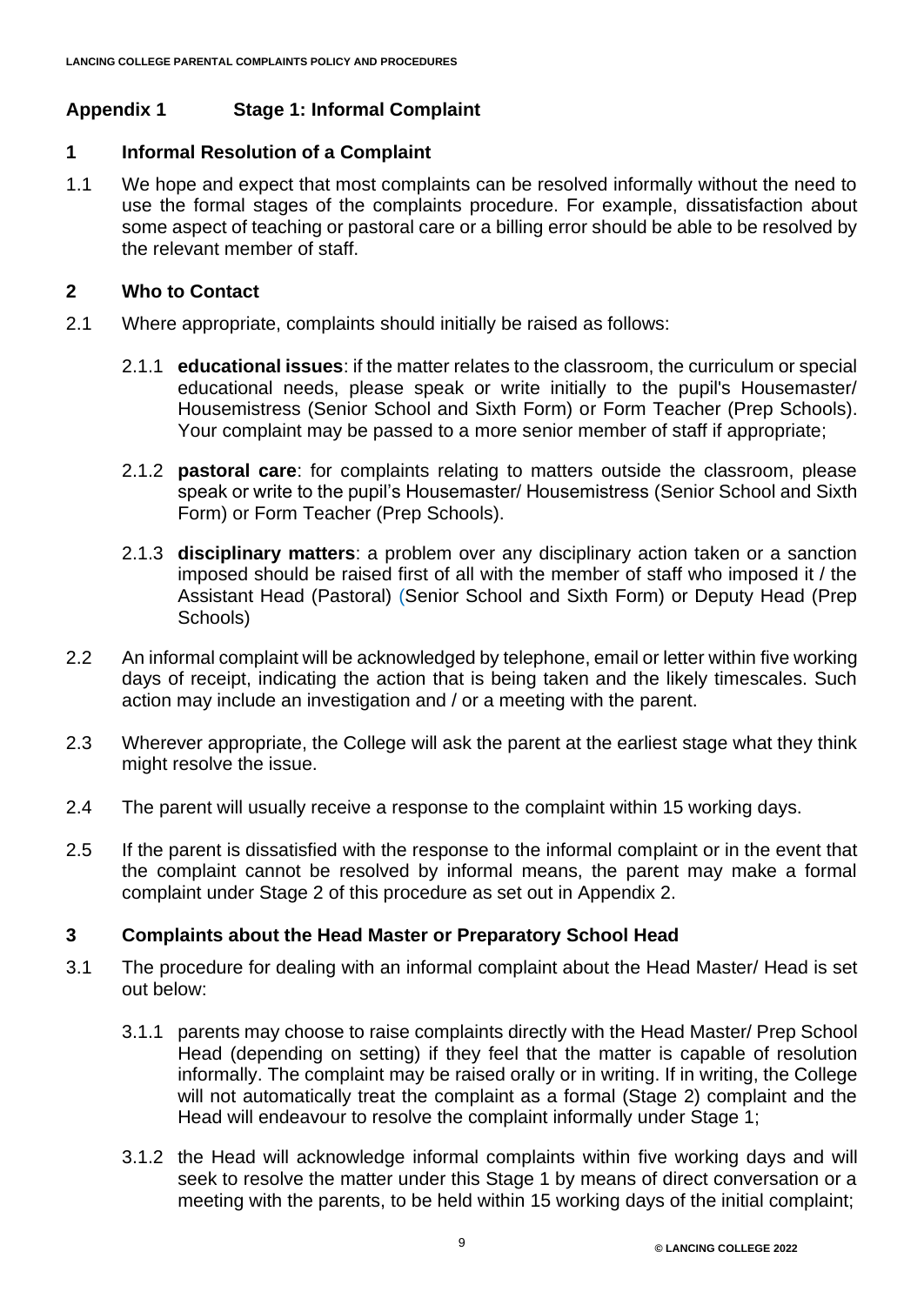# **Appendix 1 Stage 1: Informal Complaint**

# **1 Informal Resolution of a Complaint**

1.1 We hope and expect that most complaints can be resolved informally without the need to use the formal stages of the complaints procedure. For example, dissatisfaction about some aspect of teaching or pastoral care or a billing error should be able to be resolved by the relevant member of staff.

# **2 Who to Contact**

- 2.1 Where appropriate, complaints should initially be raised as follows:
	- 2.1.1 **educational issues**: if the matter relates to the classroom, the curriculum or special educational needs, please speak or write initially to the pupil's Housemaster/ Housemistress (Senior School and Sixth Form) or Form Teacher (Prep Schools). Your complaint may be passed to a more senior member of staff if appropriate;
	- 2.1.2 **pastoral care**: for complaints relating to matters outside the classroom, please speak or write to the pupil's Housemaster/ Housemistress (Senior School and Sixth Form) or Form Teacher (Prep Schools).
	- 2.1.3 **disciplinary matters**: a problem over any disciplinary action taken or a sanction imposed should be raised first of all with the member of staff who imposed it / the Assistant Head (Pastoral) (Senior School and Sixth Form) or Deputy Head (Prep Schools)
- 2.2 An informal complaint will be acknowledged by telephone, email or letter within five working days of receipt, indicating the action that is being taken and the likely timescales. Such action may include an investigation and / or a meeting with the parent.
- 2.3 Wherever appropriate, the College will ask the parent at the earliest stage what they think might resolve the issue.
- 2.4 The parent will usually receive a response to the complaint within 15 working days.
- 2.5 If the parent is dissatisfied with the response to the informal complaint or in the event that the complaint cannot be resolved by informal means, the parent may make a formal complaint under Stage 2 of this procedure as set out in Appendix 2.

# **3 Complaints about the Head Master or Preparatory School Head**

- 3.1 The procedure for dealing with an informal complaint about the Head Master/ Head is set out below:
	- 3.1.1 parents may choose to raise complaints directly with the Head Master/ Prep School Head (depending on setting) if they feel that the matter is capable of resolution informally. The complaint may be raised orally or in writing. If in writing, the College will not automatically treat the complaint as a formal (Stage 2) complaint and the Head will endeavour to resolve the complaint informally under Stage 1;
	- 3.1.2 the Head will acknowledge informal complaints within five working days and will seek to resolve the matter under this Stage 1 by means of direct conversation or a meeting with the parents, to be held within 15 working days of the initial complaint;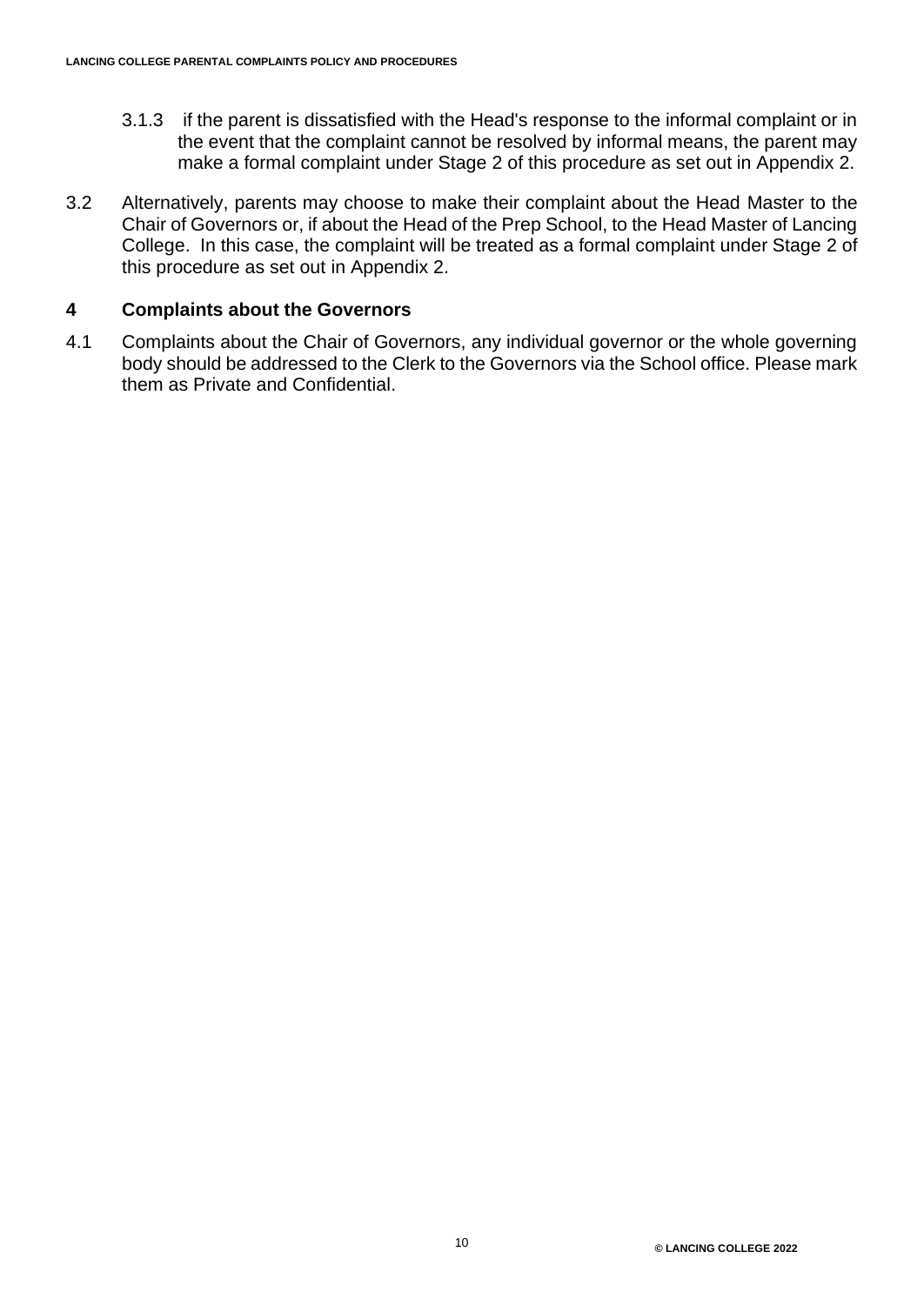- 3.1.3 if the parent is dissatisfied with the Head's response to the informal complaint or in the event that the complaint cannot be resolved by informal means, the parent may make a formal complaint under Stage 2 of this procedure as set out in Appendix 2.
- 3.2 Alternatively, parents may choose to make their complaint about the Head Master to the Chair of Governors or, if about the Head of the Prep School, to the Head Master of Lancing College. In this case, the complaint will be treated as a formal complaint under Stage 2 of this procedure as set out in Appendix 2.

#### **4 Complaints about the Governors**

4.1 Complaints about the Chair of Governors, any individual governor or the whole governing body should be addressed to the Clerk to the Governors via the School office. Please mark them as Private and Confidential.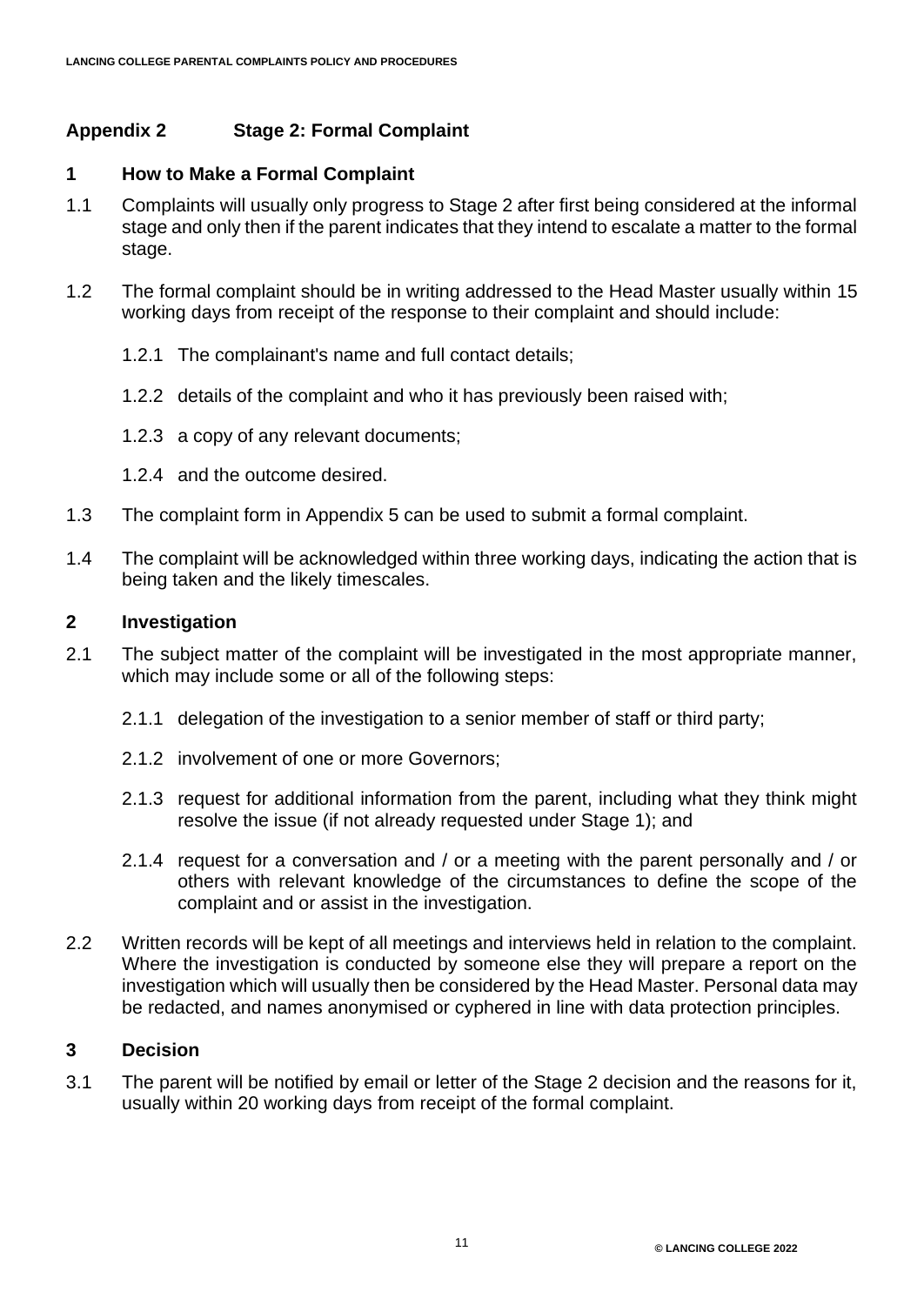# **Appendix 2 Stage 2: Formal Complaint**

#### **1 How to Make a Formal Complaint**

- 1.1 Complaints will usually only progress to Stage 2 after first being considered at the informal stage and only then if the parent indicates that they intend to escalate a matter to the formal stage.
- 1.2 The formal complaint should be in writing addressed to the Head Master usually within 15 working days from receipt of the response to their complaint and should include:
	- 1.2.1 The complainant's name and full contact details;
	- 1.2.2 details of the complaint and who it has previously been raised with;
	- 1.2.3 a copy of any relevant documents;
	- 1.2.4 and the outcome desired.
- 1.3 The complaint form in Appendix 5 can be used to submit a formal complaint.
- 1.4 The complaint will be acknowledged within three working days, indicating the action that is being taken and the likely timescales.

#### **2 Investigation**

- 2.1 The subject matter of the complaint will be investigated in the most appropriate manner, which may include some or all of the following steps:
	- 2.1.1 delegation of the investigation to a senior member of staff or third party;
	- 2.1.2 involvement of one or more Governors;
	- 2.1.3 request for additional information from the parent, including what they think might resolve the issue (if not already requested under Stage 1); and
	- 2.1.4 request for a conversation and / or a meeting with the parent personally and / or others with relevant knowledge of the circumstances to define the scope of the complaint and or assist in the investigation.
- 2.2 Written records will be kept of all meetings and interviews held in relation to the complaint. Where the investigation is conducted by someone else they will prepare a report on the investigation which will usually then be considered by the Head Master. Personal data may be redacted, and names anonymised or cyphered in line with data protection principles.

#### **3 Decision**

3.1 The parent will be notified by email or letter of the Stage 2 decision and the reasons for it, usually within 20 working days from receipt of the formal complaint.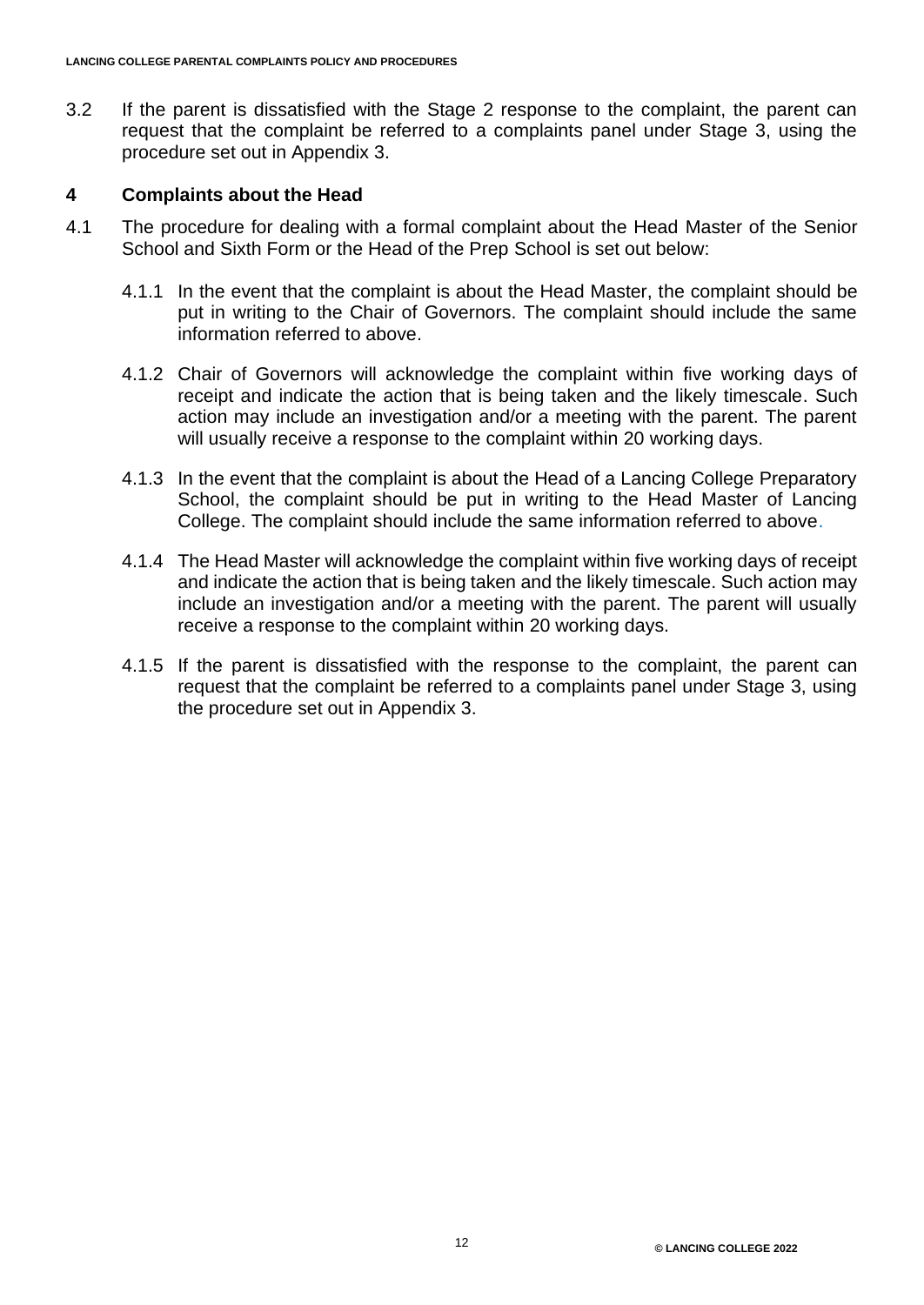3.2 If the parent is dissatisfied with the Stage 2 response to the complaint, the parent can request that the complaint be referred to a complaints panel under Stage 3, using the procedure set out in Appendix 3.

#### **4 Complaints about the Head**

- 4.1 The procedure for dealing with a formal complaint about the Head Master of the Senior School and Sixth Form or the Head of the Prep School is set out below:
	- 4.1.1 In the event that the complaint is about the Head Master, the complaint should be put in writing to the Chair of Governors. The complaint should include the same information referred to above.
	- 4.1.2 Chair of Governors will acknowledge the complaint within five working days of receipt and indicate the action that is being taken and the likely timescale. Such action may include an investigation and/or a meeting with the parent. The parent will usually receive a response to the complaint within 20 working days.
	- 4.1.3 In the event that the complaint is about the Head of a Lancing College Preparatory School, the complaint should be put in writing to the Head Master of Lancing College. The complaint should include the same information referred to above.
	- 4.1.4 The Head Master will acknowledge the complaint within five working days of receipt and indicate the action that is being taken and the likely timescale. Such action may include an investigation and/or a meeting with the parent. The parent will usually receive a response to the complaint within 20 working days.
	- 4.1.5 If the parent is dissatisfied with the response to the complaint, the parent can request that the complaint be referred to a complaints panel under Stage 3, using the procedure set out in Appendix 3.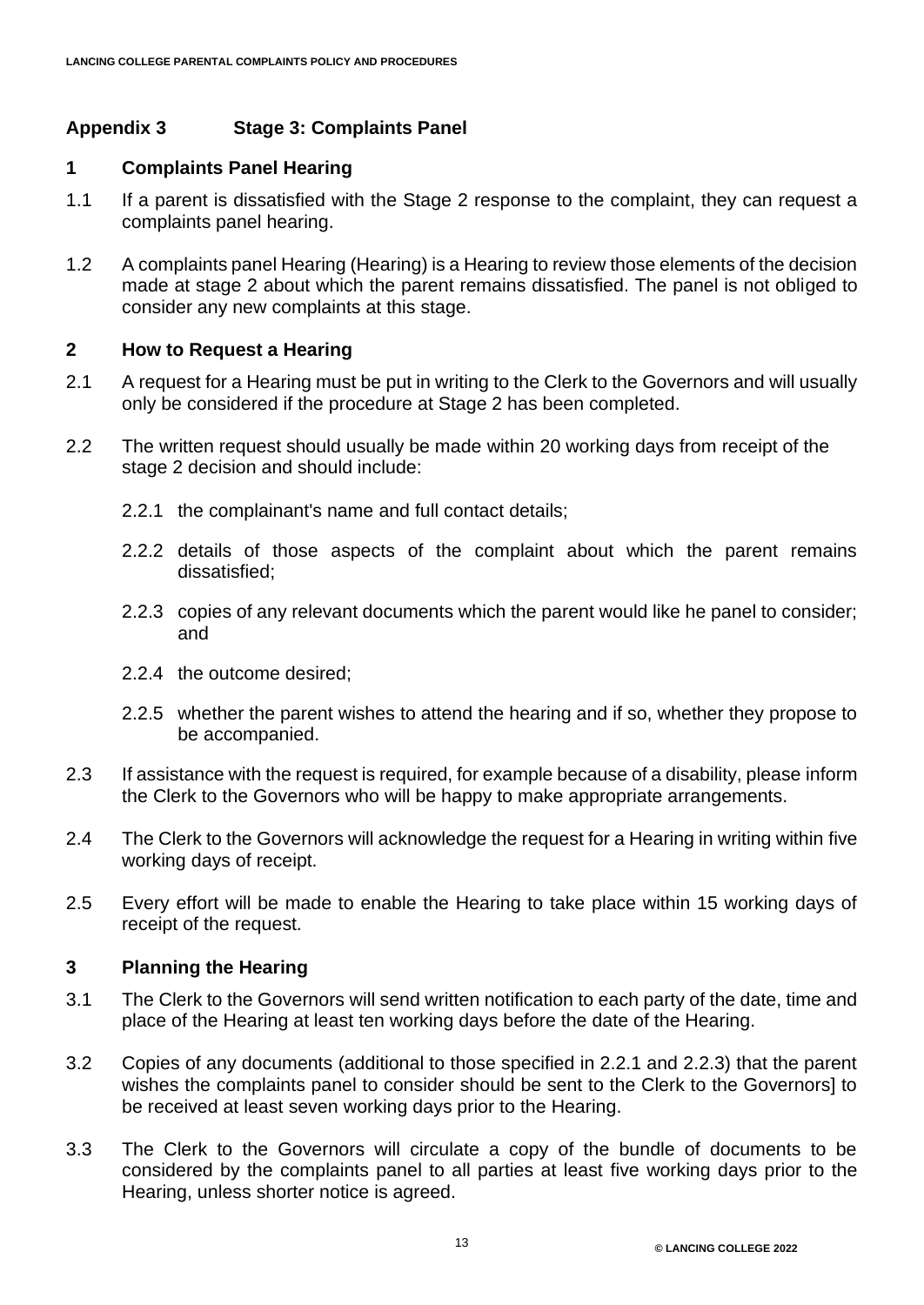# **Appendix 3 Stage 3: Complaints Panel**

## **1 Complaints Panel Hearing**

- 1.1 If a parent is dissatisfied with the Stage 2 response to the complaint, they can request a complaints panel hearing.
- 1.2 A complaints panel Hearing (Hearing) is a Hearing to review those elements of the decision made at stage 2 about which the parent remains dissatisfied. The panel is not obliged to consider any new complaints at this stage.

#### **2 How to Request a Hearing**

- 2.1 A request for a Hearing must be put in writing to the Clerk to the Governors and will usually only be considered if the procedure at Stage 2 has been completed.
- 2.2 The written request should usually be made within 20 working days from receipt of the stage 2 decision and should include:
	- 2.2.1 the complainant's name and full contact details;
	- 2.2.2 details of those aspects of the complaint about which the parent remains dissatisfied;
	- 2.2.3 copies of any relevant documents which the parent would like he panel to consider; and
	- 2.2.4 the outcome desired;
	- 2.2.5 whether the parent wishes to attend the hearing and if so, whether they propose to be accompanied.
- 2.3 If assistance with the request is required, for example because of a disability, please inform the Clerk to the Governors who will be happy to make appropriate arrangements.
- 2.4 The Clerk to the Governors will acknowledge the request for a Hearing in writing within five working days of receipt.
- 2.5 Every effort will be made to enable the Hearing to take place within 15 working days of receipt of the request.

#### **3 Planning the Hearing**

- 3.1 The Clerk to the Governors will send written notification to each party of the date, time and place of the Hearing at least ten working days before the date of the Hearing.
- 3.2 Copies of any documents (additional to those specified in 2.2.1 and 2.2.3) that the parent wishes the complaints panel to consider should be sent to the Clerk to the Governors] to be received at least seven working days prior to the Hearing.
- 3.3 The Clerk to the Governors will circulate a copy of the bundle of documents to be considered by the complaints panel to all parties at least five working days prior to the Hearing, unless shorter notice is agreed.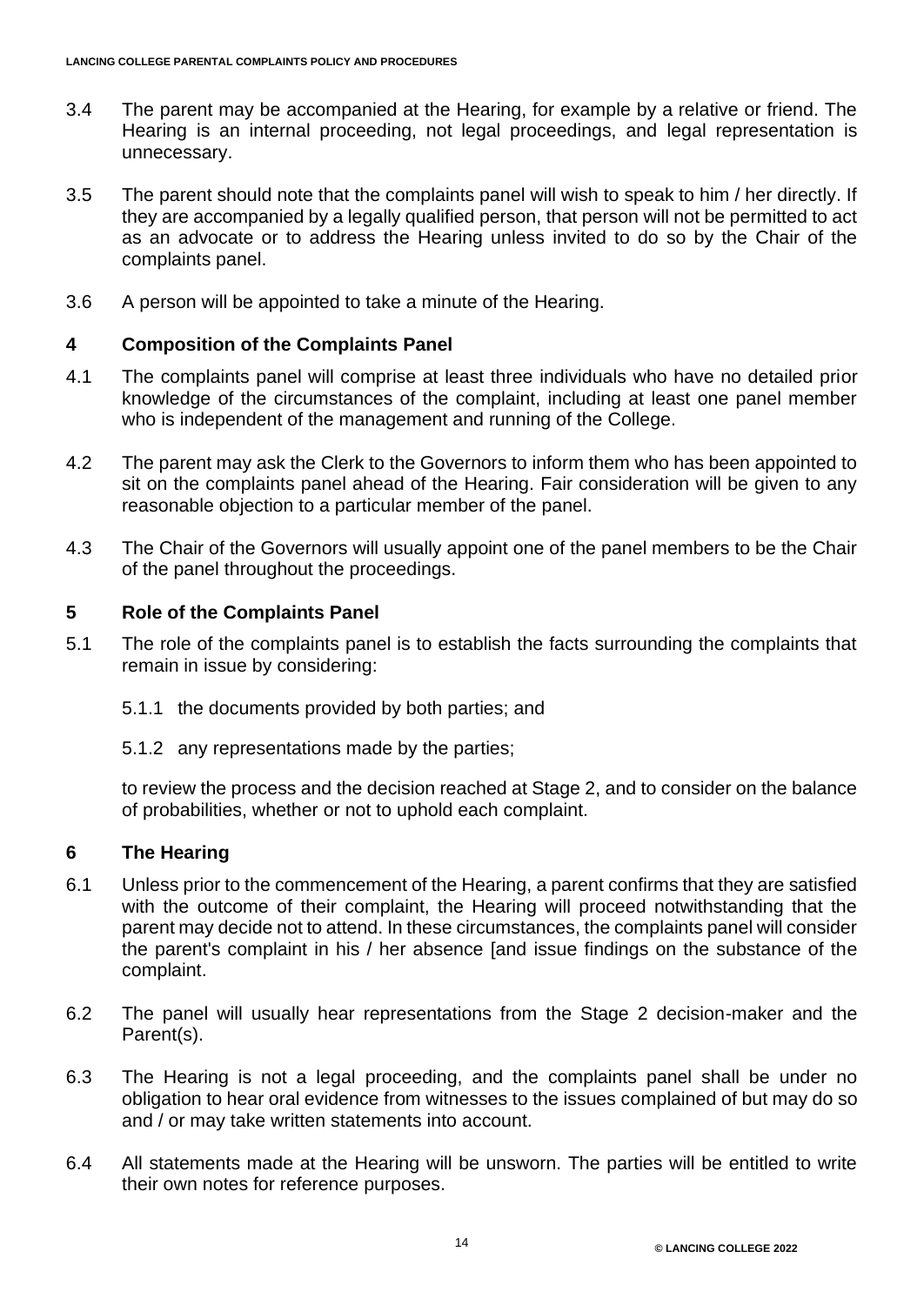- 3.4 The parent may be accompanied at the Hearing, for example by a relative or friend. The Hearing is an internal proceeding, not legal proceedings, and legal representation is unnecessary.
- 3.5 The parent should note that the complaints panel will wish to speak to him / her directly. If they are accompanied by a legally qualified person, that person will not be permitted to act as an advocate or to address the Hearing unless invited to do so by the Chair of the complaints panel.
- 3.6 A person will be appointed to take a minute of the Hearing.

# **4 Composition of the Complaints Panel**

- 4.1 The complaints panel will comprise at least three individuals who have no detailed prior knowledge of the circumstances of the complaint, including at least one panel member who is independent of the management and running of the College.
- 4.2 The parent may ask the Clerk to the Governors to inform them who has been appointed to sit on the complaints panel ahead of the Hearing. Fair consideration will be given to any reasonable objection to a particular member of the panel.
- 4.3 The Chair of the Governors will usually appoint one of the panel members to be the Chair of the panel throughout the proceedings.

# **5 Role of the Complaints Panel**

- 5.1 The role of the complaints panel is to establish the facts surrounding the complaints that remain in issue by considering:
	- 5.1.1 the documents provided by both parties; and
	- 5.1.2 any representations made by the parties;

to review the process and the decision reached at Stage 2, and to consider on the balance of probabilities, whether or not to uphold each complaint.

#### **6 The Hearing**

- 6.1 Unless prior to the commencement of the Hearing, a parent confirms that they are satisfied with the outcome of their complaint, the Hearing will proceed notwithstanding that the parent may decide not to attend. In these circumstances, the complaints panel will consider the parent's complaint in his / her absence [and issue findings on the substance of the complaint.
- 6.2 The panel will usually hear representations from the Stage 2 decision-maker and the Parent(s).
- 6.3 The Hearing is not a legal proceeding, and the complaints panel shall be under no obligation to hear oral evidence from witnesses to the issues complained of but may do so and / or may take written statements into account.
- 6.4 All statements made at the Hearing will be unsworn. The parties will be entitled to write their own notes for reference purposes.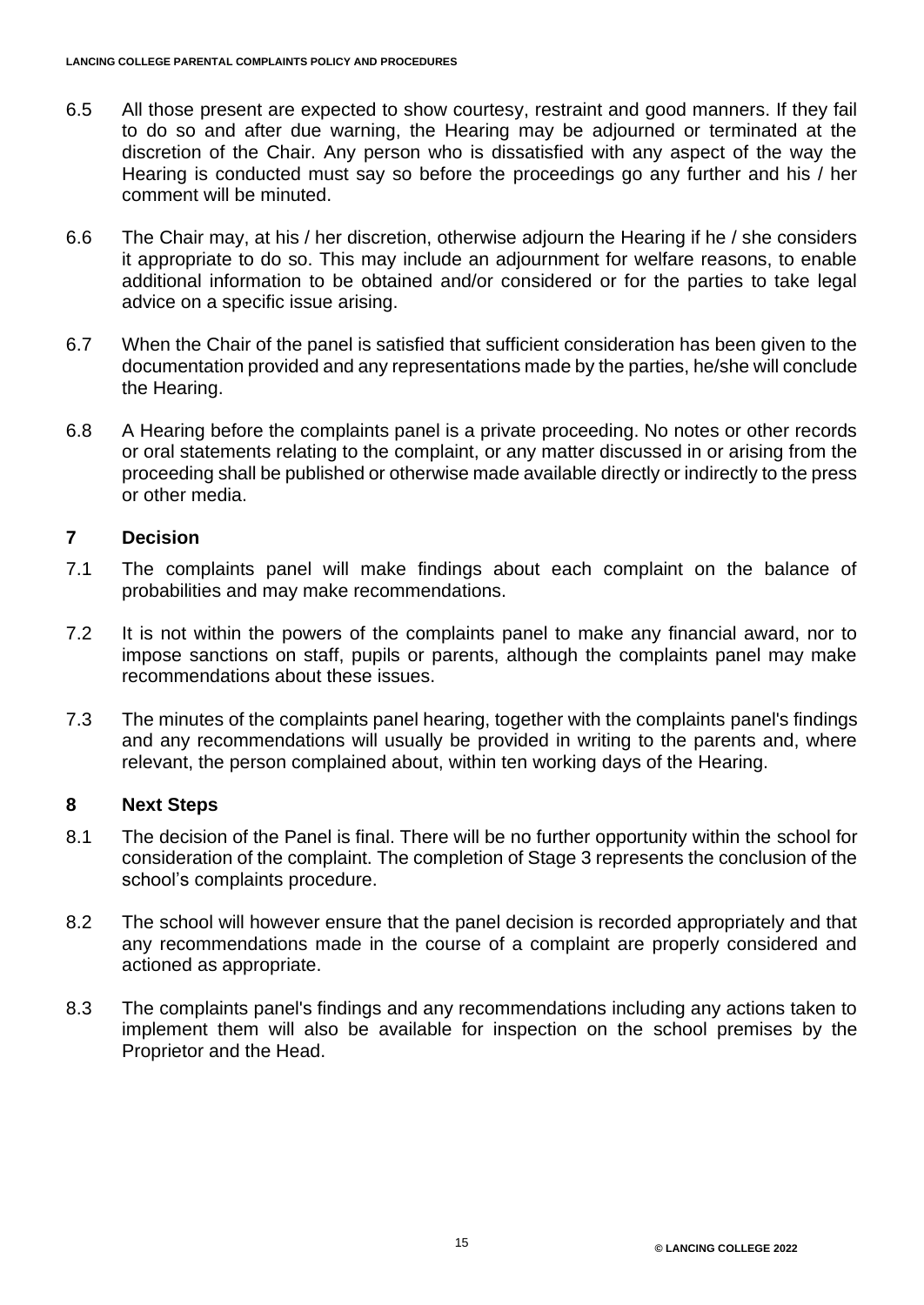- 6.5 All those present are expected to show courtesy, restraint and good manners. If they fail to do so and after due warning, the Hearing may be adjourned or terminated at the discretion of the Chair. Any person who is dissatisfied with any aspect of the way the Hearing is conducted must say so before the proceedings go any further and his / her comment will be minuted.
- 6.6 The Chair may, at his / her discretion, otherwise adjourn the Hearing if he / she considers it appropriate to do so. This may include an adjournment for welfare reasons, to enable additional information to be obtained and/or considered or for the parties to take legal advice on a specific issue arising.
- 6.7 When the Chair of the panel is satisfied that sufficient consideration has been given to the documentation provided and any representations made by the parties, he/she will conclude the Hearing.
- 6.8 A Hearing before the complaints panel is a private proceeding. No notes or other records or oral statements relating to the complaint, or any matter discussed in or arising from the proceeding shall be published or otherwise made available directly or indirectly to the press or other media.

# **7 Decision**

- 7.1 The complaints panel will make findings about each complaint on the balance of probabilities and may make recommendations.
- 7.2 It is not within the powers of the complaints panel to make any financial award, nor to impose sanctions on staff, pupils or parents, although the complaints panel may make recommendations about these issues.
- 7.3 The minutes of the complaints panel hearing, together with the complaints panel's findings and any recommendations will usually be provided in writing to the parents and, where relevant, the person complained about, within ten working days of the Hearing.

#### **8 Next Steps**

- 8.1 The decision of the Panel is final. There will be no further opportunity within the school for consideration of the complaint. The completion of Stage 3 represents the conclusion of the school's complaints procedure.
- 8.2 The school will however ensure that the panel decision is recorded appropriately and that any recommendations made in the course of a complaint are properly considered and actioned as appropriate.
- 8.3 The complaints panel's findings and any recommendations including any actions taken to implement them will also be available for inspection on the school premises by the Proprietor and the Head.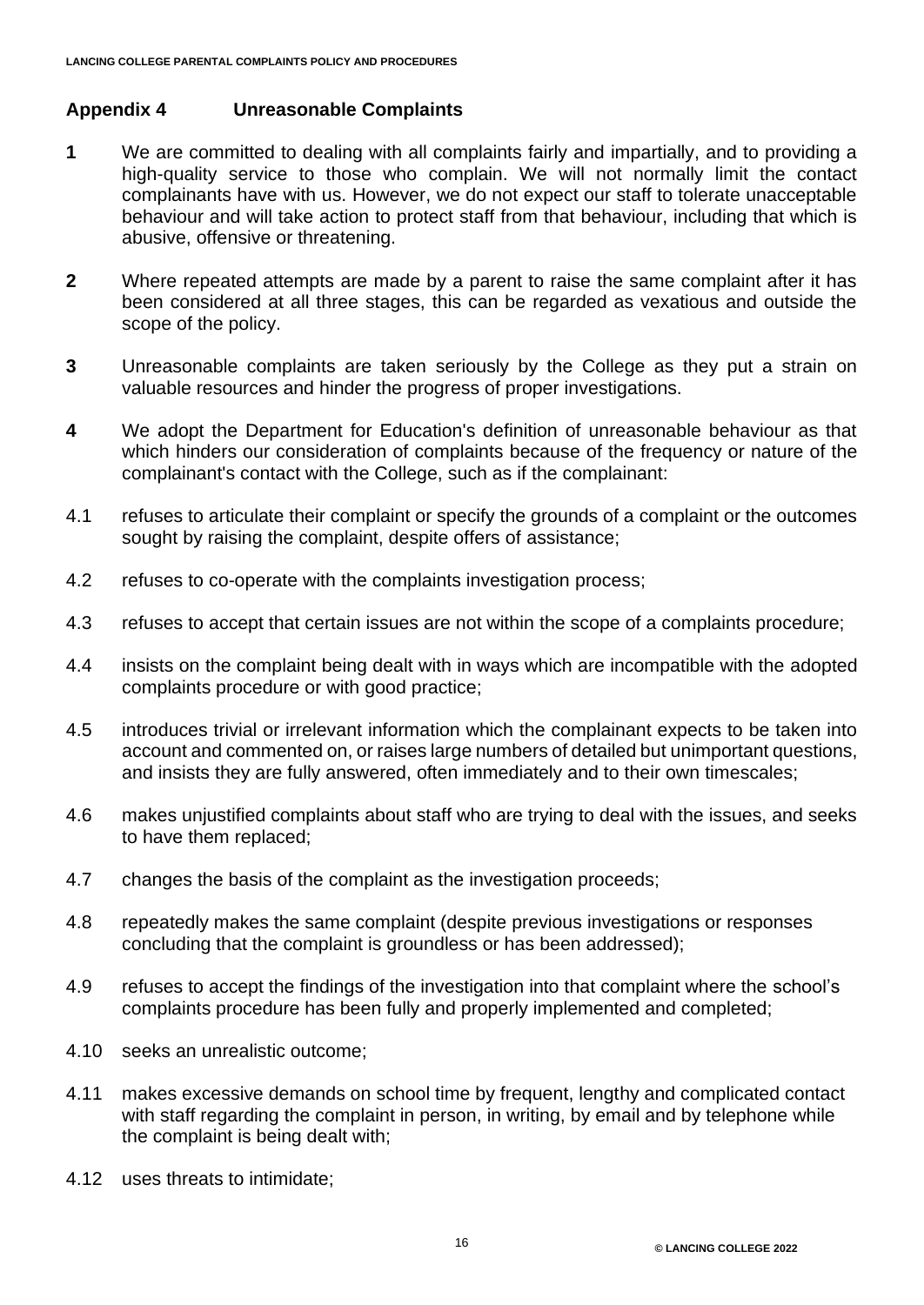# **Appendix 4 Unreasonable Complaints**

- **1** We are committed to dealing with all complaints fairly and impartially, and to providing a high-quality service to those who complain. We will not normally limit the contact complainants have with us. However, we do not expect our staff to tolerate unacceptable behaviour and will take action to protect staff from that behaviour, including that which is abusive, offensive or threatening.
- **2** Where repeated attempts are made by a parent to raise the same complaint after it has been considered at all three stages, this can be regarded as vexatious and outside the scope of the policy.
- **3** Unreasonable complaints are taken seriously by the College as they put a strain on valuable resources and hinder the progress of proper investigations.
- **4** We adopt the Department for Education's definition of unreasonable behaviour as that which hinders our consideration of complaints because of the frequency or nature of the complainant's contact with the College, such as if the complainant:
- 4.1 refuses to articulate their complaint or specify the grounds of a complaint or the outcomes sought by raising the complaint, despite offers of assistance;
- 4.2 refuses to co-operate with the complaints investigation process;
- 4.3 refuses to accept that certain issues are not within the scope of a complaints procedure;
- 4.4 insists on the complaint being dealt with in ways which are incompatible with the adopted complaints procedure or with good practice;
- 4.5 introduces trivial or irrelevant information which the complainant expects to be taken into account and commented on, or raises large numbers of detailed but unimportant questions, and insists they are fully answered, often immediately and to their own timescales;
- 4.6 makes unjustified complaints about staff who are trying to deal with the issues, and seeks to have them replaced;
- 4.7 changes the basis of the complaint as the investigation proceeds;
- 4.8 repeatedly makes the same complaint (despite previous investigations or responses concluding that the complaint is groundless or has been addressed);
- 4.9 refuses to accept the findings of the investigation into that complaint where the school's complaints procedure has been fully and properly implemented and completed;
- 4.10 seeks an unrealistic outcome;
- 4.11 makes excessive demands on school time by frequent, lengthy and complicated contact with staff regarding the complaint in person, in writing, by email and by telephone while the complaint is being dealt with;
- 4.12 uses threats to intimidate;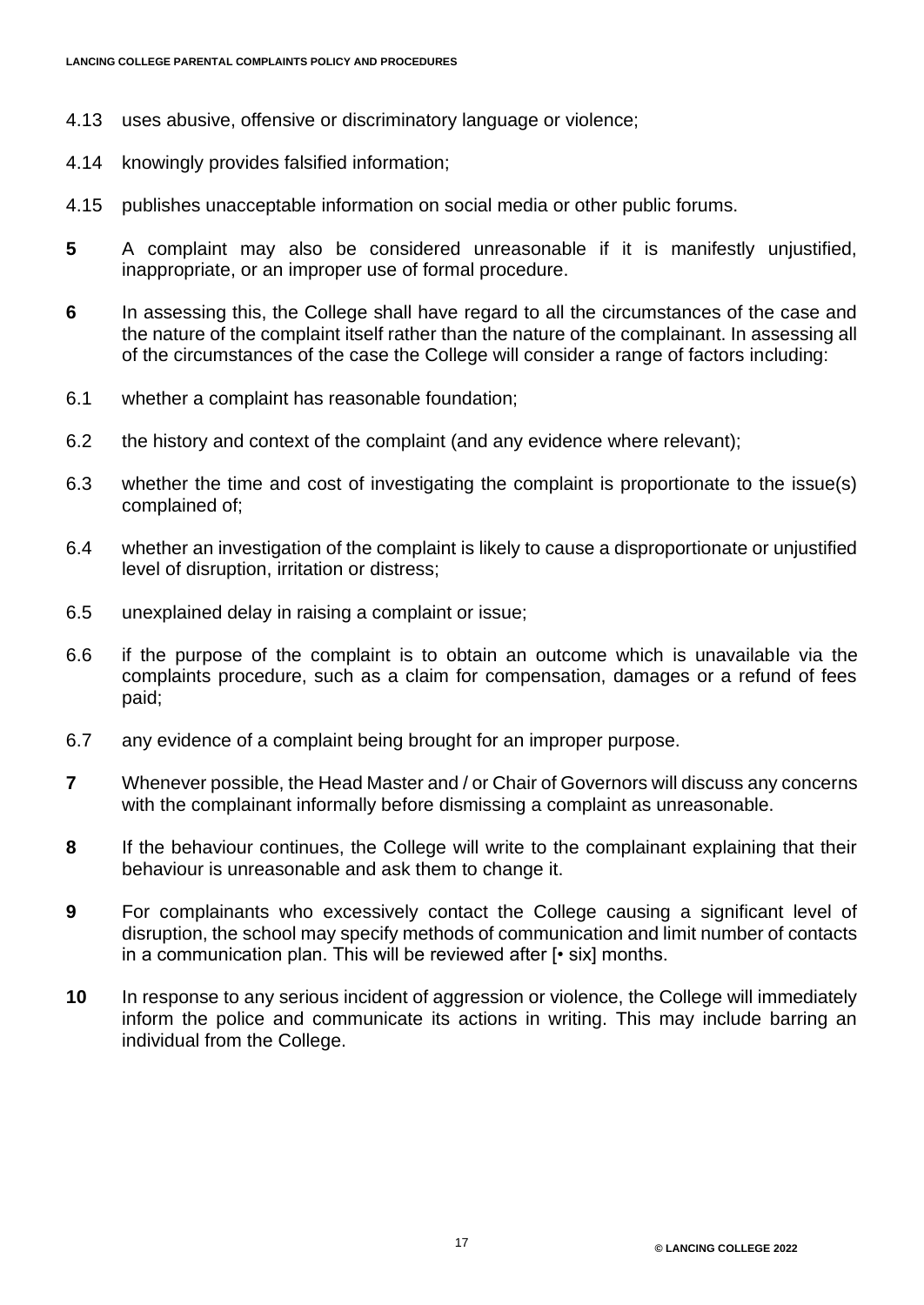- 4.13 uses abusive, offensive or discriminatory language or violence;
- 4.14 knowingly provides falsified information;
- 4.15 publishes unacceptable information on social media or other public forums.
- **5** A complaint may also be considered unreasonable if it is manifestly unjustified, inappropriate, or an improper use of formal procedure.
- **6** In assessing this, the College shall have regard to all the circumstances of the case and the nature of the complaint itself rather than the nature of the complainant. In assessing all of the circumstances of the case the College will consider a range of factors including:
- 6.1 whether a complaint has reasonable foundation;
- 6.2 the history and context of the complaint (and any evidence where relevant);
- 6.3 whether the time and cost of investigating the complaint is proportionate to the issue(s) complained of;
- 6.4 whether an investigation of the complaint is likely to cause a disproportionate or unjustified level of disruption, irritation or distress;
- 6.5 unexplained delay in raising a complaint or issue;
- 6.6 if the purpose of the complaint is to obtain an outcome which is unavailable via the complaints procedure, such as a claim for compensation, damages or a refund of fees paid;
- 6.7 any evidence of a complaint being brought for an improper purpose.
- **7** Whenever possible, the Head Master and / or Chair of Governors will discuss any concerns with the complainant informally before dismissing a complaint as unreasonable.
- **8** If the behaviour continues, the College will write to the complainant explaining that their behaviour is unreasonable and ask them to change it.
- **9** For complainants who excessively contact the College causing a significant level of disruption, the school may specify methods of communication and limit number of contacts in a communication plan. This will be reviewed after [• six] months.
- **10** In response to any serious incident of aggression or violence, the College will immediately inform the police and communicate its actions in writing. This may include barring an individual from the College.